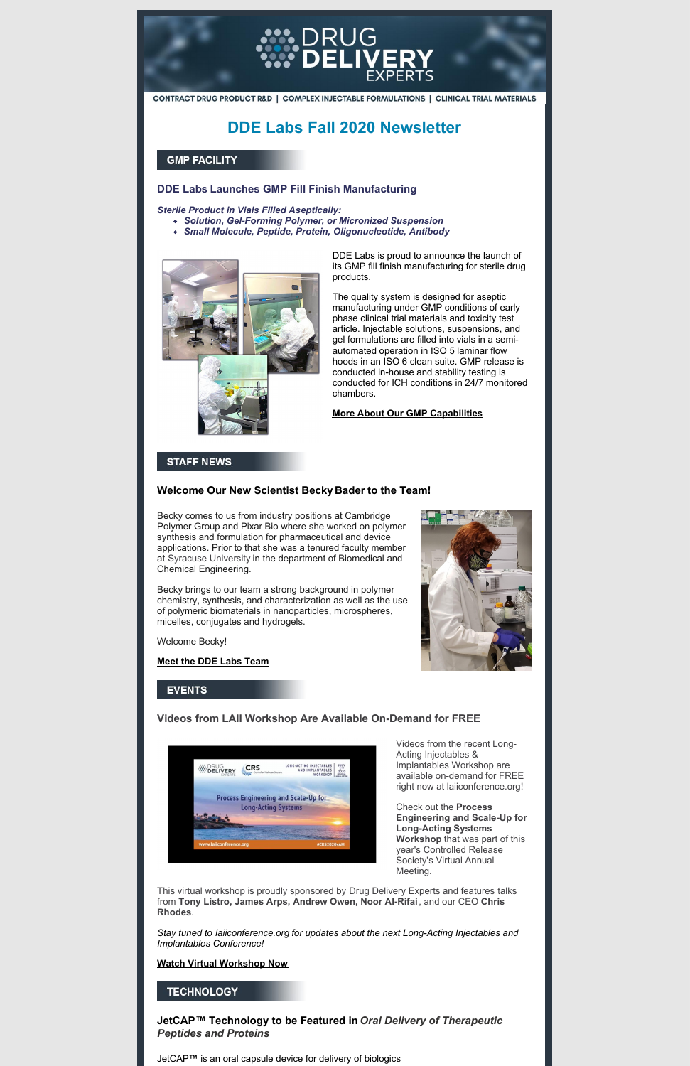

CONTRACT DRUG PRODUCT R&D | COMPLEX INJECTABLE FORMULATIONS | CLINICAL TRIAL MATERIALS

# **DDE Labs Fall 2020 Newsletter**

# **GMP FACILITY**

# **DDE Labs Launches GMP Fill Finish Manufacturing**

*Sterile Product in Vials Filled Aseptically:*

- *Solution, Gel-Forming Polymer, or Micronized Suspension*
- *Small Molecule, Peptide, Protein, Oligonucleotide, Antibody*



DDE Labs is proud to announce the launch of its GMP fill finish manufacturing for sterile drug products.

The quality system is designed for aseptic manufacturing under GMP conditions of early phase clinical trial materials and toxicity test article. Injectable solutions, suspensions, and gel formulations are filled into vials in a semiautomated operation in ISO 5 laminar flow hoods in an ISO 6 clean suite. GMP release is conducted in-house and stability testing is conducted for ICH conditions in 24/7 monitored chambers.

#### **More About Our GMP [Capabilities](http://drugdeliveryexperts.com/gmp-facilities/)**

# **STAFF NEWS**

### **Welcome Our New Scientist Becky Bader to the Team!**

Becky comes to us from industry positions at Cambridge Polymer Group and Pixar Bio where she worked on polymer synthesis and formulation for pharmaceutical and device applications. Prior to that she was a tenured faculty member at Syracuse University in the department of Biomedical and Chemical Engineering.

Becky brings to our team a strong background in polymer chemistry, synthesis, and characterization as well as the use of polymeric biomaterials in nanoparticles, microspheres, micelles, conjugates and hydrogels.

Welcome Becky!

**Meet the DDE Labs [Team](http://drugdeliveryexperts.com/staff/)**



# **EVENTS**

**Videos from LAII Workshop Are Available On-Demand for FREE**

| ÷<br><b>DELIVERY</b><br>EXPERTS | <b>CRS</b> | LONG-ACTING INJECTABLES<br>AND IMPLANTABLES<br>WORKSHOP | <b>JULY</b><br>2 <sup>NO</sup><br>2020 |
|---------------------------------|------------|---------------------------------------------------------|----------------------------------------|

Videos from the recent Long-Acting Injectables & Implantables Workshop are available on-demand for FREE



right now at [laiiconference.org!](http://laiiconference.org)

Check out the **Process Engineering and Scale-Up for Long-Acting Systems Workshop** that was part of this year's Controlled Release Society's Virtual Annual Meeting.

This virtual workshop is proudly sponsored by Drug [Delivery](https://www.linkedin.com/company/ddelabs/) Experts and features talks from **Tony Listro, James Arps, Andrew Owen, Noor Al-Rifai**, and our CEO **Chris Rhodes**.

*Stay tuned to [laiiconference.org](http://laiiconference.org) for updates about the next Long-Acting Injectables and Implantables Conference!*

#### **Watch Virtual [Workshop](http://drugdeliveryexperts.com/laii-workshop-video-2020/) Now**

# **TECHNOLOGY**

**JetCAP™ Technology to be Featured in** *Oral Delivery of Therapeutic Peptides and Proteins*

JetCAP**™** is an oral capsule device for delivery of biologics